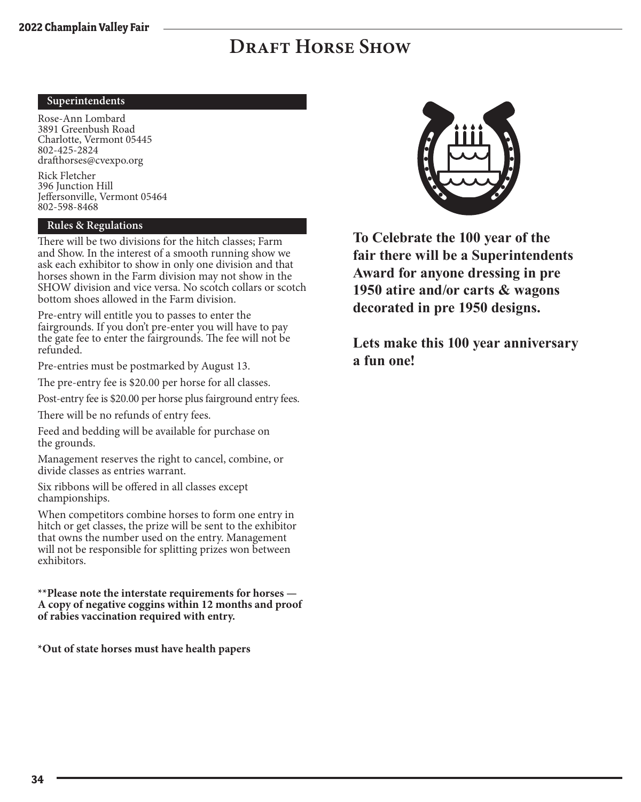#### **Superintendents**

Rose-Ann Lombard 3891 Greenbush Road Charlotte, Vermont 05445 802-425-2824 drafthorses@cvexpo.org

Rick Fletcher 396 Junction Hill Jeffersonville, Vermont 05464 802-598-8468

#### **Rules & Regulations**

There will be two divisions for the hitch classes; Farm and Show. In the interest of a smooth running show we ask each exhibitor to show in only one division and that horses shown in the Farm division may not show in the SHOW division and vice versa. No scotch collars or scotch bottom shoes allowed in the Farm division.

Pre-entry will entitle you to passes to enter the fairgrounds. If you don't pre-enter you will have to pay the gate fee to enter the fairgrounds. The fee will not be refunded.

Pre-entries must be postmarked by August 13.

The pre-entry fee is \$20.00 per horse for all classes.

Post-entry fee is \$20.00 per horse plus fairground entry fees.

There will be no refunds of entry fees.

Feed and bedding will be available for purchase on the grounds.

Management reserves the right to cancel, combine, or divide classes as entries warrant.

Six ribbons will be offered in all classes except championships.

When competitors combine horses to form one entry in hitch or get classes, the prize will be sent to the exhibitor that owns the number used on the entry. Management will not be responsible for splitting prizes won between exhibitors.

**\*\*Please note the interstate requirements for horses — A copy of negative coggins within 12 months and proof of rabies vaccination required with entry.**

**\*Out of state horses must have health papers**



**To Celebrate the 100 year of the fair there will be a Superintendents Award for anyone dressing in pre 1950 atire and/or carts & wagons decorated in pre 1950 designs.** 

**Lets make this 100 year anniversary a fun one!**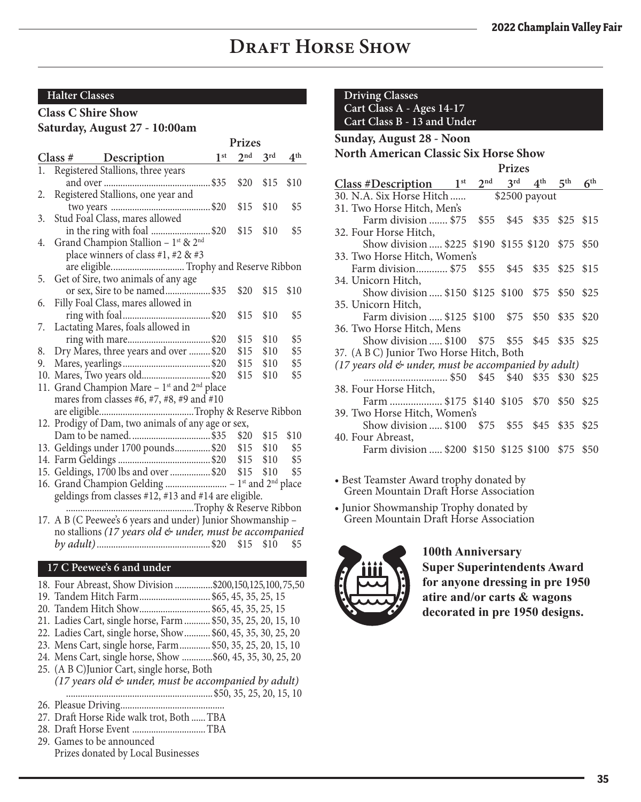#### **Halter Classes**

#### **Class C Shire Show**

#### **Saturday, August 27 - 10:00am**

|    |                                                                      | Prizes          |                 |                 |                 |
|----|----------------------------------------------------------------------|-----------------|-----------------|-----------------|-----------------|
|    | Class # Description                                                  | 1 <sup>st</sup> | 2 <sup>nd</sup> | $3^{\text{rd}}$ | 4 <sup>th</sup> |
| 1. | Registered Stallions, three years                                    |                 |                 |                 |                 |
|    |                                                                      |                 | \$20            | \$15            | \$10            |
| 2. | Registered Stallions, one year and                                   |                 |                 |                 |                 |
|    |                                                                      |                 | \$15            | \$10            | \$5             |
| 3. | Stud Foal Class, mares allowed                                       |                 |                 |                 |                 |
|    | in the ring with foal \$20 \$15                                      |                 |                 | \$10            | \$5             |
| 4. | Grand Champion Stallion - 1st & 2 <sup>nd</sup>                      |                 |                 |                 |                 |
|    | place winners of class #1, #2 & #3                                   |                 |                 |                 |                 |
|    |                                                                      |                 |                 |                 |                 |
| 5. | Get of Sire, two animals of any age                                  |                 |                 |                 |                 |
|    | or sex, Sire to be named\$35                                         |                 | \$20 \$15       |                 | \$10            |
| 6. | Filly Foal Class, mares allowed in                                   |                 |                 |                 |                 |
|    |                                                                      |                 | \$15            | \$10            | \$5             |
| 7. | Lactating Mares, foals allowed in                                    |                 |                 |                 |                 |
|    |                                                                      |                 | \$15            | \$10            | \$5             |
| 8. | Dry Mares, three years and over  \$20                                |                 | \$15            | \$10            | \$5             |
| 9. |                                                                      |                 | \$15            | \$10            | \$5             |
|    | 10. Mares, Two years old\$20                                         |                 | \$15            | \$10            | \$5             |
|    | 11. Grand Champion Mare - 1 <sup>st</sup> and 2 <sup>nd</sup> place  |                 |                 |                 |                 |
|    | mares from classes #6, #7, #8, #9 and #10                            |                 |                 |                 |                 |
|    |                                                                      |                 |                 |                 |                 |
|    | 12. Prodigy of Dam, two animals of any age or sex,                   |                 |                 |                 |                 |
|    |                                                                      |                 | \$20 \$15       |                 | \$10            |
|    | 13. Geldings under 1700 pounds \$20 \$15 \$10                        |                 |                 |                 | \$5             |
|    |                                                                      |                 |                 |                 | \$5             |
|    | 15. Geldings, 1700 lbs and over  \$20 \$15 \$10                      |                 |                 |                 | \$5             |
|    |                                                                      |                 |                 |                 |                 |
|    | geldings from classes #12, #13 and #14 are eligible.                 |                 |                 |                 |                 |
|    | Trophy & Reserve Ribbon                                              |                 |                 |                 |                 |
|    | 17. A B (C Peewee's 6 years and under) Junior Showmanship -          |                 |                 |                 |                 |
|    | no stallions (17 years old $\mathfrak{G}$ under, must be accompanied |                 |                 |                 |                 |
|    |                                                                      |                 |                 |                 |                 |

#### **17 C Peewee's 6 and under**

- 18. Four Abreast, Show Division ................\$200, 150, 125, 100, 75, 50
- 19. Tandem Hitch Farm.............................. \$65, 45, 35, 25, 15
- 20. Tandem Hitch Show.............................. \$65, 45, 35, 25, 15
- 21. Ladies Cart, single horse, Farm ........... \$50, 35, 25, 20, 15, 10
- 22. Ladies Cart, single horse, Show........... \$60, 45, 35, 30, 25, 20 23. Mens Cart, single horse, Farm............. \$50, 35, 25, 20, 15, 10
- 24. Mens Cart, single horse, Show .............\$60, 45, 35, 30, 25, 20
- 25. (A B C)Junior Cart, single horse, Both
- *(17 years old & under, must be accompanied by adult)* ..............................................................\$50, 35, 25, 20, 15, 10
- 26. Pleasue Driving............................................
- 27. Draft Horse Ride walk trot, Both ......TBA
- 28. Draft Horse Event ...............................TBA
- 29. Games to be announced Prizes donated by Local Businesses

#### **Driving Classes**

**Cart Class A - Ages 14-17 Cart Class B - 13 and Under**

**Sunday, August 28 - Noon**

**North American Classic Six Horse Show**

|                                                           | <b>Prizes</b> |  |  |                                              |           |  |
|-----------------------------------------------------------|---------------|--|--|----------------------------------------------|-----------|--|
| $Class \#Description$ $1st$                               |               |  |  | $2^{nd}$ $3^{rd}$ $4^{th}$ $5^{th}$ $6^{th}$ |           |  |
| 30. N.A. Six Horse Hitch                                  |               |  |  | \$2500 payout                                |           |  |
| 31. Two Horse Hitch, Men's                                |               |  |  |                                              |           |  |
| Farm division  \$75 \$55 \$45 \$35 \$25 \$15              |               |  |  |                                              |           |  |
| 32. Four Horse Hitch,                                     |               |  |  |                                              |           |  |
| Show division  \$225 \$190 \$155 \$120 \$75 \$50          |               |  |  |                                              |           |  |
| 33. Two Horse Hitch, Women's                              |               |  |  |                                              |           |  |
| Farm division \$75 \$55 \$45 \$35 \$25 \$15               |               |  |  |                                              |           |  |
| 34. Unicorn Hitch,                                        |               |  |  |                                              |           |  |
| Show division  \$150 \$125 \$100 \$75                     |               |  |  |                                              | \$50 \$25 |  |
| 35. Unicorn Hitch,                                        |               |  |  |                                              |           |  |
| Farm division  \$125 \$100 \$75 \$50 \$35 \$20            |               |  |  |                                              |           |  |
| 36. Two Horse Hitch, Mens                                 |               |  |  |                                              |           |  |
| Show division  \$100 \$75 \$55 \$45 \$35 \$25             |               |  |  |                                              |           |  |
| 37. (A B C) Junior Two Horse Hitch, Both                  |               |  |  |                                              |           |  |
| $(17$ years old $\&$ under, must be accompanied by adult) |               |  |  |                                              |           |  |
| \$50 \$45 \$40 \$35 \$30 \$25                             |               |  |  |                                              |           |  |
| 38. Four Horse Hitch,                                     |               |  |  |                                              |           |  |
| Farm  \$175 \$140 \$105 \$70 \$50 \$25                    |               |  |  |                                              |           |  |
| 39. Two Horse Hitch, Women's                              |               |  |  |                                              |           |  |
| Show division  \$100 \$75 \$55 \$45 \$35 \$25             |               |  |  |                                              |           |  |
| 40. Four Abreast,                                         |               |  |  |                                              |           |  |
| Farm division  \$200 \$150 \$125 \$100 \$75 \$50          |               |  |  |                                              |           |  |
|                                                           |               |  |  |                                              |           |  |

- Best Teamster Award trophy donated by Green Mountain Draft Horse Association
- Junior Showmanship Trophy donated by Green Mountain Draft Horse Association



**100th Anniversary Super Superintendents Award**  for anyone dressing in pre 1950<br>
atire and/or carts & wagons<br>
decorated in pre 1950 designs. **atire and/or carts & wagons**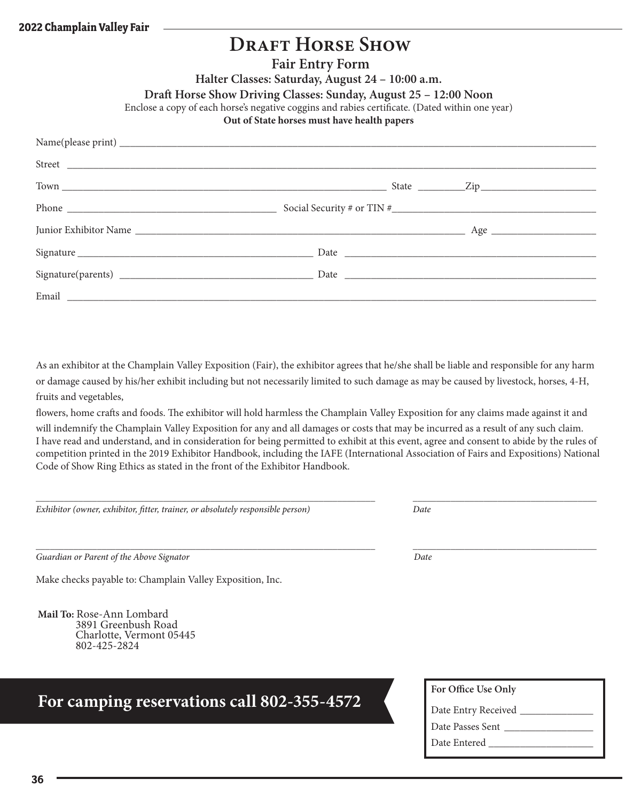#### **Fair Entry Form**

**Halter Classes: Saturday, August 24 – 10:00 a.m.**

**Draft Horse Show Driving Classes: Sunday, August 25 – 12:00 Noon**

Enclose a copy of each horse's negative coggins and rabies certificate. (Dated within one year)

#### **Out of State horses must have health papers**

| Phone $\frac{1}{\sqrt{1-\frac{1}{2}}\sqrt{1-\frac{1}{2}}\sqrt{1-\frac{1}{2}}\sqrt{1-\frac{1}{2}}\sqrt{1-\frac{1}{2}}\sqrt{1-\frac{1}{2}}\sqrt{1-\frac{1}{2}}\sqrt{1-\frac{1}{2}}\sqrt{1-\frac{1}{2}}\sqrt{1-\frac{1}{2}}\sqrt{1-\frac{1}{2}}\sqrt{1-\frac{1}{2}}\sqrt{1-\frac{1}{2}}\sqrt{1-\frac{1}{2}}\sqrt{1-\frac{1}{2}}\sqrt{1-\frac{1}{2}}\sqrt{1-\frac{1}{2}}\sqrt{1-\frac{1}{2}}\sqrt{1-\frac{1}{2}}$ |  |  |
|---------------------------------------------------------------------------------------------------------------------------------------------------------------------------------------------------------------------------------------------------------------------------------------------------------------------------------------------------------------------------------------------------------------|--|--|
|                                                                                                                                                                                                                                                                                                                                                                                                               |  |  |
|                                                                                                                                                                                                                                                                                                                                                                                                               |  |  |
|                                                                                                                                                                                                                                                                                                                                                                                                               |  |  |
| Email <u>and the contract of the contract of the contract of the contract of the contract of the contract of the contract of the contract of the contract of the contract of the contract of the contract of the contract of the</u>                                                                                                                                                                          |  |  |

As an exhibitor at the Champlain Valley Exposition (Fair), the exhibitor agrees that he/she shall be liable and responsible for any harm or damage caused by his/her exhibit including but not necessarily limited to such damage as may be caused by livestock, horses, 4-H, fruits and vegetables,

flowers, home crafts and foods. The exhibitor will hold harmless the Champlain Valley Exposition for any claims made against it and

will indemnify the Champlain Valley Exposition for any and all damages or costs that may be incurred as a result of any such claim. I have read and understand, and in consideration for being permitted to exhibit at this event, agree and consent to abide by the rules of competition printed in the 2019 Exhibitor Handbook, including the IAFE (International Association of Fairs and Expositions) National Code of Show Ring Ethics as stated in the front of the Exhibitor Handbook.

*\_\_\_\_\_\_\_\_\_\_\_\_\_\_\_\_\_\_\_\_\_\_\_\_\_\_\_\_\_\_\_\_\_\_\_\_\_\_\_\_\_\_\_\_\_\_\_\_\_\_\_\_\_\_\_\_\_\_\_\_\_\_\_\_\_\_\_\_\_\_\_\_ \_\_\_\_\_\_\_\_\_\_\_\_\_\_\_\_\_\_\_\_\_\_\_\_\_\_\_\_\_\_\_\_\_\_\_\_\_\_\_*

*Exhibitor (owner, exhibitor, fitter, trainer, or absolutely responsible person) Date*

*Guardian or Parent of the Above Signator Date*

Make checks payable to: Champlain Valley Exposition, Inc.

**Mail To:** Rose-Ann Lombard 3891 Greenbush Road Charlotte, Vermont 05445 802-425-2824

### **For camping reservations call 802-355-4572**

**For Office Use Only**

| Date Entry Received |  |
|---------------------|--|
| Date Passes Sent    |  |
| Date Entered        |  |

**36**